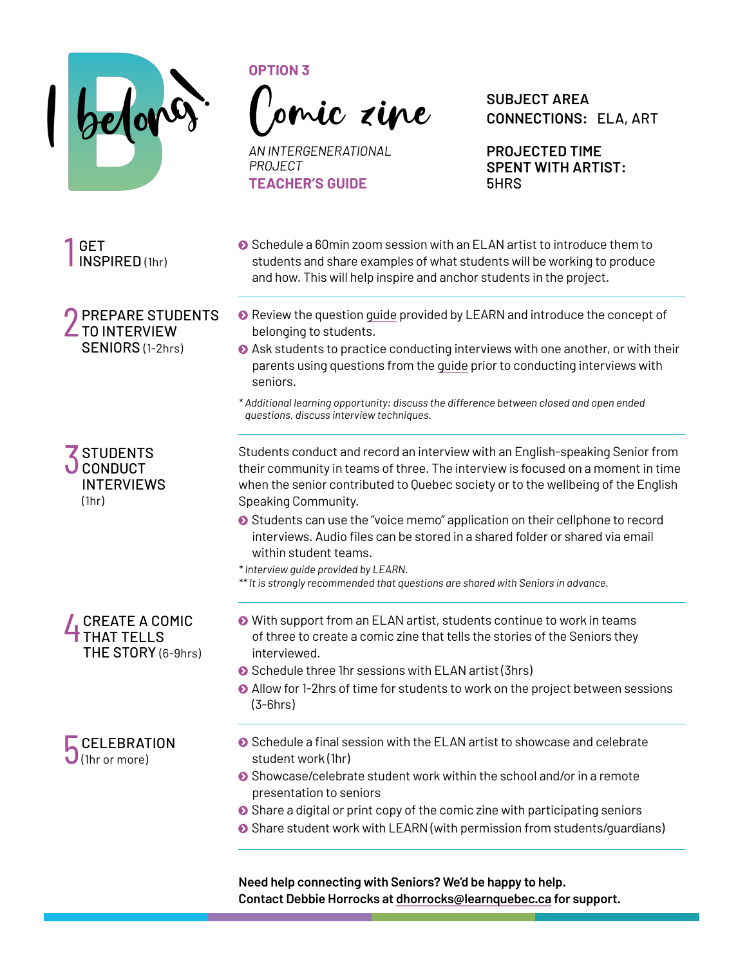

INSPIRED (1hr)

## **OPTION 3**

seniors.

Comic zine

*AN INTERGENERATIONAL PROJECT* **TEACHER'S GUIDE**

**SUBJECT AREA CONNECTIONS:** ELA, ART

**PROJECTED TIME SPENT WITH ARTIST:** 5HRS

 $\bullet$  Schedule a 60min zoom session with an ELAN artist to introduce them to students and share examples of what students will be working to produce and how. This will help inspire and anchor students in the project.

PREPARE STUDENTS TO INTERVIEW SENIORS (1-2hrs) ● Review the question [guide](https://hosted.learnquebec.ca/belonging/wp-content/uploads/sites/25/2020/09/Question-Prompts-for-Students-I-Belong.pdf) provided by LEARN and introduce the concept of

belonging to students.  $\odot$  Ask students to practice conducting interviews with one another, or with their parents using questions from the [guide](https://hosted.learnquebec.ca/belonging/wp-content/uploads/sites/25/2021/01/LRN-Ibelong-interview-guide-comic-zine.pdf) prior to conducting interviews with

*\* Additional learning opportunity: discuss the difference between closed and open ended questions, discuss interview techniques.* 

Students conduct and record an interview with an English-speaking Senior from their community in teams of three. The interview is focused on a moment in time when the senior contributed to Quebec society or to the wellbeing of the English Speaking Community.

- **■** Students can use the "voice memo" application on their cellphone to record interviews. Audio files can be stored in a shared folder or shared via email within student teams.
- *\* Interview guide provided by LEARN.*

*\*\* It is strongly recommended that questions are shared with Seniors in advance.*

- $\odot$  With support from an ELAN artist, students continue to work in teams of three to create a comic zine that tells the stories of the Seniors they interviewed.
- Schedule three 1hr sessions with ELAN artist (3hrs)
- $\odot$  Allow for 1-2hrs of time for students to work on the project between sessions (3-6hrs)
- $\bullet$  Schedule a final session with the ELAN artist to showcase and celebrate student work (1hr)
- $\bullet$  Showcase/celebrate student work within the school and/or in a remote presentation to seniors
- $\bullet$  Share a digital or print copy of the comic zine with participating seniors
- Share student work with LEARN (with permission from students/quardians)

**Need help connecting with Seniors? We'd be happy to help. Contact Debbie Horrocks at [dhorrocks@learnquebec.ca](mailto:dhorrocks@learnquebec.ca) for support.** 

**STUDENTS** CONDUCT INTERVIEWS (1hr)

1 GET

4CREATE A COMIC THAT TELLS THE STORY (6-9hrs)